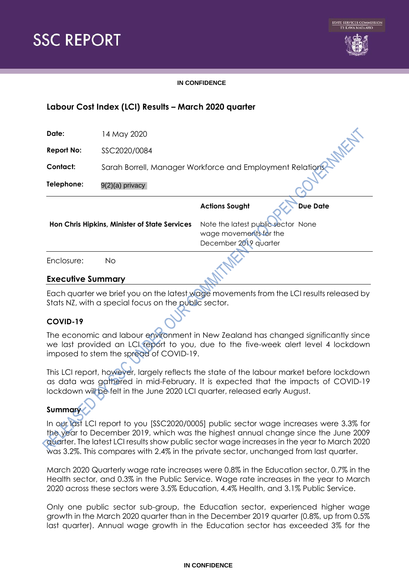



### **IN CONFIDENCE**

# **Labour Cost Index (LCI) Results – March 2020 quarter**

| Date:                                         | 14 May 2020                                               |                                                                                       |                 |  |  |
|-----------------------------------------------|-----------------------------------------------------------|---------------------------------------------------------------------------------------|-----------------|--|--|
| <b>Report No:</b>                             | SSC2020/0084                                              |                                                                                       |                 |  |  |
| <b>Contact:</b>                               | Sarah Borrell, Manager Workforce and Employment Relations |                                                                                       |                 |  |  |
| Telephone:                                    | 9(2)(a) privacy                                           |                                                                                       |                 |  |  |
|                                               |                                                           | <b>Actions Sought</b>                                                                 | <b>Due Date</b> |  |  |
| Hon Chris Hipkins, Minister of State Services |                                                           | Note the latest public sector None<br>wage movements for the<br>December 2019 quarter |                 |  |  |
| Enclosure:                                    | No                                                        |                                                                                       |                 |  |  |

# **Executive Summary**

Each quarter we brief you on the latest wage movements from the LCI results released by Stats NZ, with a special focus on the public sector.

# **COVID-19**

The economic and labour environment in New Zealand has changed significantly since we last provided an LCI report to you, due to the five-week alert level 4 lockdown imposed to stem the spread of COVID-19.

This LCI report, however, largely reflects the state of the labour market before lockdown as data was gathered in mid-February. It is expected that the impacts of COVID-19 lockdown will be felt in the June 2020 LCI quarter, released early August.

# **Summary**

In our last LCI report to you [SSC2020/0005] public sector wage increases were 3.3% for the year to December 2019, which was the highest annual change since the June 2009 quarter. The latest LCI results show public sector wage increases in the year to March 2020 was 3.2%. This compares with 2.4% in the private sector, unchanged from last quarter.

March 2020 Quarterly wage rate increases were 0.8% in the Education sector, 0.7% in the Health sector, and 0.3% in the Public Service. Wage rate increases in the year to March 2020 across these sectors were 3.5% Education, 4.4% Health, and 3.1% Public Service.

Only one public sector sub-group, the Education sector, experienced higher wage growth in the March 2020 quarter than in the December 2019 quarter (0.8%, up from 0.5% last quarter). Annual wage growth in the Education sector has exceeded 3% for the

### **IN CONFIDENCE**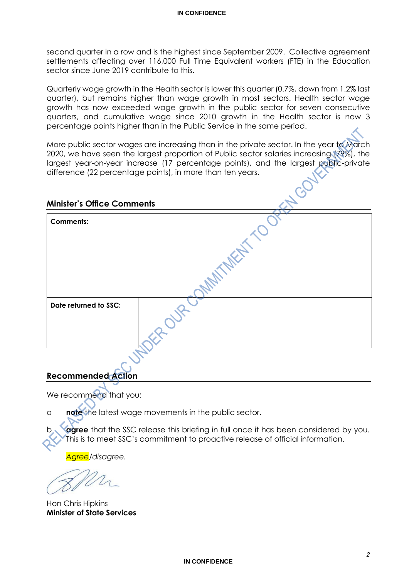second quarter in a row and is the highest since September 2009. Collective agreement settlements affecting over 116,000 Full Time Equivalent workers (FTE) in the Education sector since June 2019 contribute to this.

Quarterly wage growth in the Health sector is lower this quarter (0.7%, down from 1.2% last quarter), but remains higher than wage growth in most sectors. Health sector wage growth has now exceeded wage growth in the public sector for seven consecutive quarters, and cumulative wage since 2010 growth in the Health sector is now 3 percentage points higher than in the Public Service in the same period.

More public sector wages are increasing than in the private sector. In the year to March 2020, we have seen the largest proportion of Public sector salaries increasing (79%), the largest year-on-year increase (17 percentage points), and the largest public-private difference (22 percentage points), in more than ten years.

# **Minister's Office Comments**

| <b>Comments:</b>      |  |
|-----------------------|--|
|                       |  |
|                       |  |
| Date returned to SSC: |  |
|                       |  |
|                       |  |

# **Recommended Action**

We recommend that you:

a **note** the latest wage movements in the public sector.

agree that the SSC release this briefing in full once it has been considered by you. This is to meet SSC's commitment to proactive release of official information.

*Agree/disagree.*

Hon Chris Hipkins **Minister of State Services**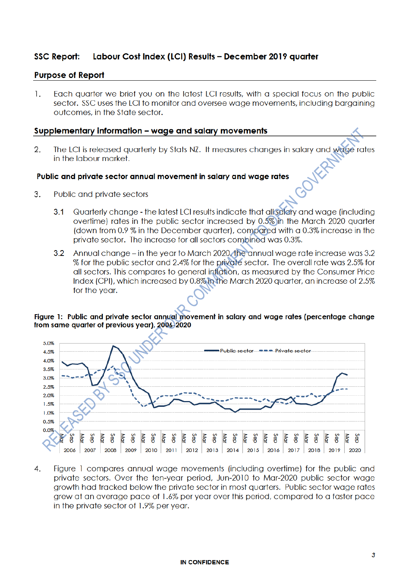#### **SSC Report:** Labour Cost Index (LCI) Results - December 2019 quarter

# **Purpose of Report**

1. Each quarter we brief you on the latest LCI results, with a special focus on the public sector. SSC uses the LCI to monitor and oversee wage movements, including bargaining outcomes, in the State sector.

### Supplementary information - wage and salary movements

 $\mathfrak{2}$ . The LCI is released quarterly by Stats NZ. It measures changes in salary and wage rates in the labour market.

### Public and private sector annual movement in salary and wage rates

- 3. Public and private sectors
	- Quarterly change the latest LCI results indicate that all salary and wage (including  $3.1$ overtime) rates in the public sector increased by 0.5% in the March 2020 quarter (down from 0.9 % in the December quarter), compared with a 0.3% increase in the private sector. The increase for all sectors combined was 0.3%.
	- 3.2 Annual change in the year to March 2020 the annual wage rate increase was 3.2 % for the public sector and 2.4% for the private sector. The overall rate was 2.5% for all sectors. This compares to general inflation, as measured by the Consumer Price Index (CPI), which increased by 0.8% in the March 2020 quarter, an increase of 2.5% for the year.

### Figure 1: Public and private sector annual movement in salary and wage rates (percentage change from same quarter of previous year), 2006-2020



Figure 1 compares annual wage movements (including overtime) for the public and 4. private sectors. Over the ten-year period, Jun-2010 to Mar-2020 public sector wage growth had tracked below the private sector in most quarters. Public sector wage rates grew at an average pace of 1.6% per year over this period, compared to a faster pace in the private sector of 1.9% per year.

### **IN CONFIDENCE**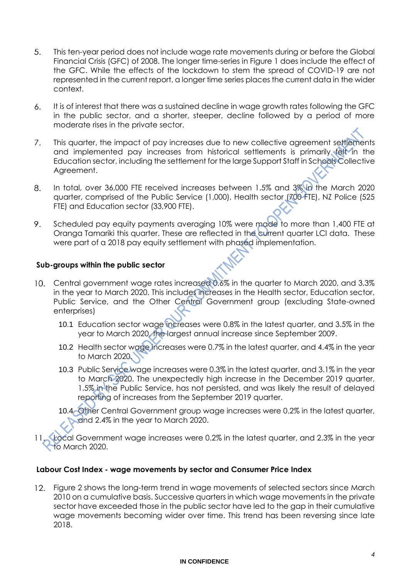- 5. This ten-year period does not include wage rate movements during or before the Global Financial Crisis (GFC) of 2008. The longer time-series in Figure 1 does include the effect of the GFC. While the effects of the lockdown to stem the spread of COVID-19 are not represented in the current report, a longer time series places the current data in the wider context.
- 6. It is of interest that there was a sustained decline in wage growth rates following the GFC in the public sector, and a shorter, steeper, decline followed by a period of more moderate rises in the private sector.
- $7.$ This quarter, the impact of pay increases due to new collective agreement settlements and implemented pay increases from historical settlements is primarily felt in the Education sector, including the settlement for the large Support Staff in Schools Collective Agreement.
- 8. In total, over 36,000 FTE received increases between 1.5% and 3% in the March 2020 quarter, comprised of the Public Service (1,000), Health sector (700 FTE), NZ Police (525 FTE) and Education sector (33,900 FTE).
- 9. Scheduled pay equity payments averaging 10% were made to more than 1,400 FTE at Oranga Tamariki this quarter. These are reflected in the current quarter LCI data. These were part of a 2018 pay equity settlement with phased implementation.

# **Sub-groups within the public sector**

- Central government wage rates increased 0.6% in the quarter to March 2020, and 3.3% in the year to March 2020. This includes increases in the Health sector, Education sector, Public Service, and the Other Central Government group (excluding State-owned enterprises)
	- 10.1 Education sector wage increases were 0.8% in the latest quarter, and 3.5% in the year to March 2020, the largest annual increase since September 2009.
	- 10.2 Health sector wage increases were 0.7% in the latest quarter, and 4.4% in the year to March 2020.
	- 10.3 Public Service wage increases were 0.3% in the latest quarter, and 3.1% in the year to March 2020. The unexpectedly high increase in the December 2019 quarter, 1.5% in the Public Service, has not persisted, and was likely the result of delayed reporting of increases from the September 2019 quarter.
	- 10.4 Other Central Government group wage increases were 0.2% in the latest quarter, and 2.4% in the year to March 2020.
- 11. Pocal Government wage increases were 0.2% in the latest quarter, and 2.3% in the year to March 2020.

# **Labour Cost Index - wage movements by sector and Consumer Price Index**

Figure 2 shows the long-term trend in wage movements of selected sectors since March  $12.$ 2010 on a cumulative basis. Successive quarters in which wage movements in the private sector have exceeded those in the public sector have led to the gap in their cumulative wage movements becoming wider over time. This trend has been reversing since late 2018.

### **IN CONFIDENCE**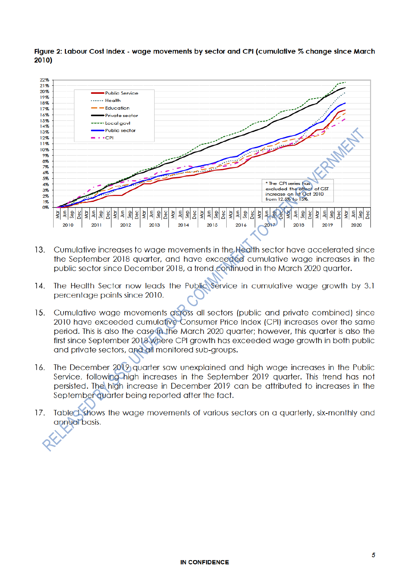### Figure 2: Labour Cost Index - wage movements by sector and CPI (cumulative % change since March 2010)



- Cumulative increases to wage movements in the Health sector have accelerated since  $13<sup>1</sup>$ the September 2018 quarter, and have exceeded cumulative wage increases in the public sector since December 2018, a trend continued in the March 2020 quarter.
- 14. The Health Sector now leads the Public Service in cumulative wage growth by 3.1 percentage points since 2010.
- Cumulative wage movements across all sectors (public and private combined) since  $15.$ 2010 have exceeded cumulative Consumer Price Index (CPI) increases over the same period. This is also the case in the March 2020 quarter; however, this quarter is also the first since September 2018 where CPI growth has exceeded wage growth in both public and private sectors, and all monitored sub-groups.
- The December 2019 quarter saw unexplained and high wage increases in the Public 16. Service, following high increases in the September 2019 quarter. This trend has not persisted. The high increase in December 2019 can be attributed to increases in the September quarter being reported after the fact.
- Tabled shows the wage movements of various sectors on a quarterly, six-monthly and  $17.$ annual basis.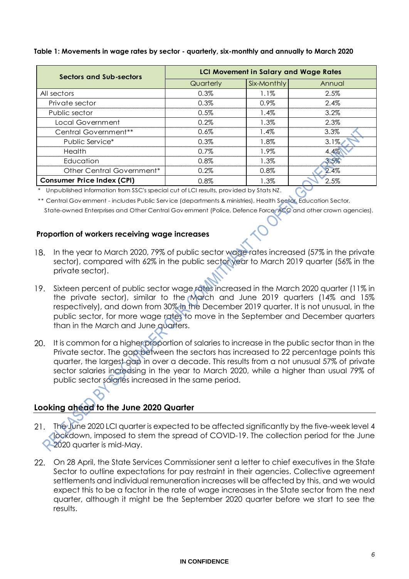| Sectors and Sub-sectors           | <b>LCI Movement in Salary and Wage Rates</b> |             |         |  |
|-----------------------------------|----------------------------------------------|-------------|---------|--|
|                                   | Quarterly                                    | Six-Monthly | Annual  |  |
| All sectors                       | 0.3%                                         | 1.1%        | 2.5%    |  |
| Private sector                    | 0.3%                                         | $0.9\%$     | 2.4%    |  |
| Public sector                     | 0.5%                                         | $1.4\%$     | $3.2\%$ |  |
| Local Government                  | 0.2%                                         | 1.3%        | 2.3%    |  |
| Central Government <sup>**</sup>  | $0.6\%$                                      | $1.4\%$     | $3.3\%$ |  |
| Public Service*                   | 0.3%                                         | 1.8%        | 3.1%    |  |
| Health                            | $0.7\%$                                      | 1.9%        | 4.4%    |  |
| Education                         | $0.8\%$                                      | 1.3%        | 3.5%    |  |
| Other Central Government*         | $0.2\%$                                      | $0.8\%$     | 2.4%    |  |
| <b>Consumer Price Index (CPI)</b> | 0.8%                                         | 1.3%        | 2.5%    |  |

# **Table 1: Movements in wage rates by sector - quarterly, six-monthly and annually to March 2020**

\* Unpublished information from SSC's special cut of LCI results, prov ided by Stats NZ.

\*\* Central Gov ernment - includes Public Serv ice (departments & ministries), Health Sector, Education Sector,

State-owned Enterprises and Other Central Gov ernment (Police, Defence Force, ACC and other crown agencies).

# **Proportion of workers receiving wage increases**

- 18. In the year to March 2020, 79% of public sector wage rates increased (57% in the private sector), compared with 62% in the public sector year to March 2019 quarter (56% in the private sector).
- Sixteen percent of public sector wage rates increased in the March 2020 quarter (11% in 19. the private sector), similar to the March and June 2019 quarters (14% and 15% respectively), and down from 30% in the December 2019 quarter. It is not unusual, in the public sector, for more wage rates to move in the September and December quarters than in the March and June quarters.
- It is common for a higher proportion of salaries to increase in the public sector than in the 20. Private sector. The gap between the sectors has increased to 22 percentage points this quarter, the largest gap in over a decade. This results from a not unusual 57% of private sector salaries increasing in the year to March 2020, while a higher than usual 79% of public sector salaries increased in the same period.

# **Looking ahead to the June 2020 Quarter**

- The June 2020 LCI quarter is expected to be affected significantly by the five-week level 4 lockdown, imposed to stem the spread of COVID-19. The collection period for the June 2020 quarter is mid-May.
- 22. On 28 April, the State Services Commissioner sent a letter to chief executives in the State Sector to outline expectations for pay restraint in their agencies. Collective agreement settlements and individual remuneration increases will be affected by this, and we would expect this to be a factor in the rate of wage increases in the State sector from the next quarter, although it might be the September 2020 quarter before we start to see the results.